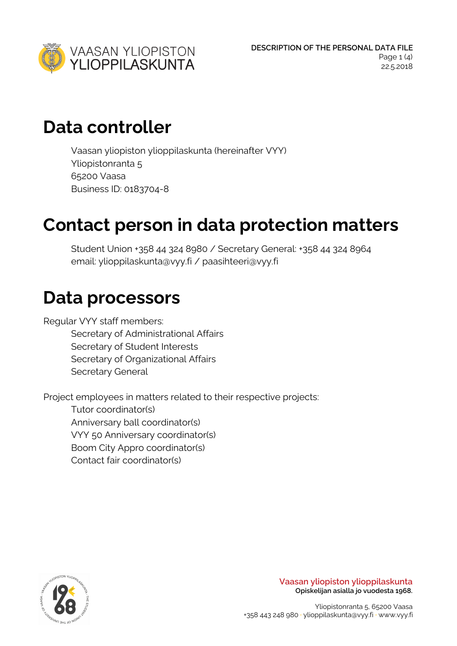

### **Data controller**

Vaasan yliopiston ylioppilaskunta (hereinafter VYY) Yliopistonranta 5 65200 Vaasa Business ID: 0183704-8

### **Contact person in data protection matters**

Student Union +358 44 324 8980 / Secretary General: +358 44 324 8964 email: ylioppilaskunta@vyy.fi / paasihteeri@vyy.fi

#### **Data processors**

Regular VYY staff members:

Secretary of Administrational Affairs Secretary of Student Interests Secretary of Organizational Affairs Secretary General

Project employees in matters related to their respective projects:

Tutor coordinator(s) Anniversary ball coordinator(s) VYY 50 Anniversary coordinator(s) Boom City Appro coordinator(s) Contact fair coordinator(s)



**Vaasan yliopiston ylioppilaskunta Opiskelijan asialla jo vuodesta 1968.**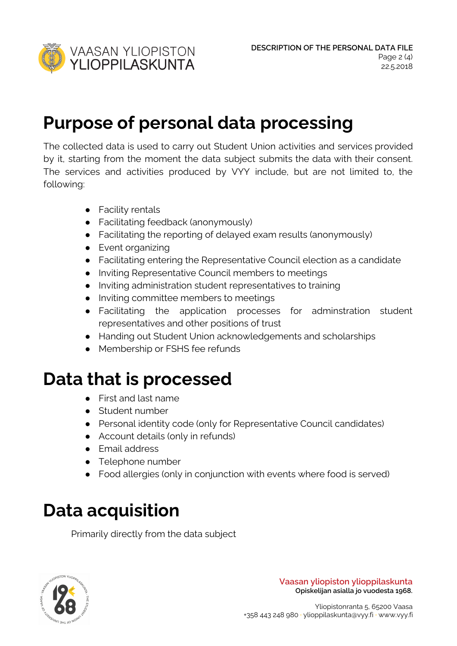

### **Purpose of personal data processing**

The collected data is used to carry out Student Union activities and services provided by it, starting from the moment the data subject submits the data with their consent. The services and activities produced by VYY include, but are not limited to, the following:

- Facility rentals
- Facilitating feedback (anonymously)
- Facilitating the reporting of delayed exam results (anonymously)
- Event organizing
- Facilitating entering the Representative Council election as a candidate
- Inviting Representative Council members to meetings
- Inviting administration student representatives to training
- Inviting committee members to meetings
- Facilitating the application processes for adminstration student representatives and other positions of trust
- Handing out Student Union acknowledgements and scholarships
- Membership or FSHS fee refunds

### **Data that is processed**

- First and last name
- Student number
- Personal identity code (only for Representative Council candidates)
- Account details (only in refunds)
- Email address
- Telephone number
- Food allergies (only in conjunction with events where food is served)

# **Data acquisition**

Primarily directly from the data subject



**Vaasan yliopiston ylioppilaskunta Opiskelijan asialla jo vuodesta 1968.**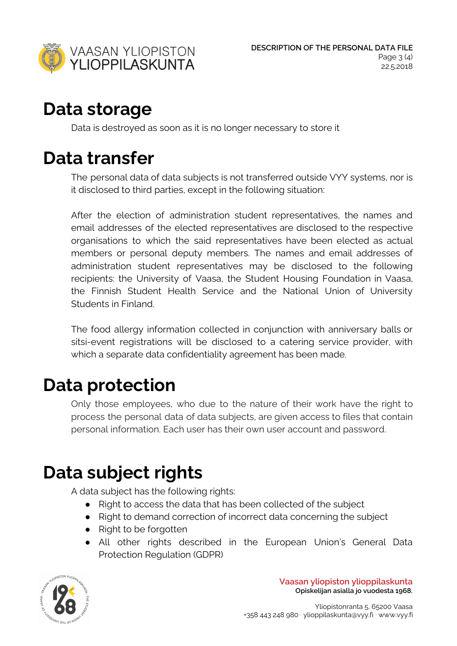

### **Data storage**

Data is destroyed as soon as it is no longer necessary to store it

### **Data transfer**

The personal data of data subjects is not transferred outside VYY systems, nor is it disclosed to third parties, except in the following situation:

After the election of administration student representatives, the names and email addresses of the elected representatives are disclosed to the respective organisations to which the said representatives have been elected as actual members or personal deputy members. The names and email addresses of administration student representatives may be disclosed to the following recipients: the University of Vaasa, the Student Housing Foundation in Vaasa, the Finnish Student Health Service and the National Union of University Students in Finland.

The food allergy information collected in conjunction with anniversary balls or sitsi-event registrations will be disclosed to a catering service provider, with which a separate data confidentiality agreement has been made.

#### **Data protection**

Only those employees, who due to the nature of their work have the right to process the personal data of data subjects, are given access to files that contain personal information. Each user has their own user account and password.

# **Data subject rights**

A data subject has the following rights:

- Right to access the data that has been collected of the subject
- Right to demand correction of incorrect data concerning the subject
- Right to be forgotten
- All other rights described in the European Union's General Data Protection Regulation (GDPR)



**Vaasan yliopiston ylioppilaskunta Opiskelijan asialla jo vuodesta 1968.**